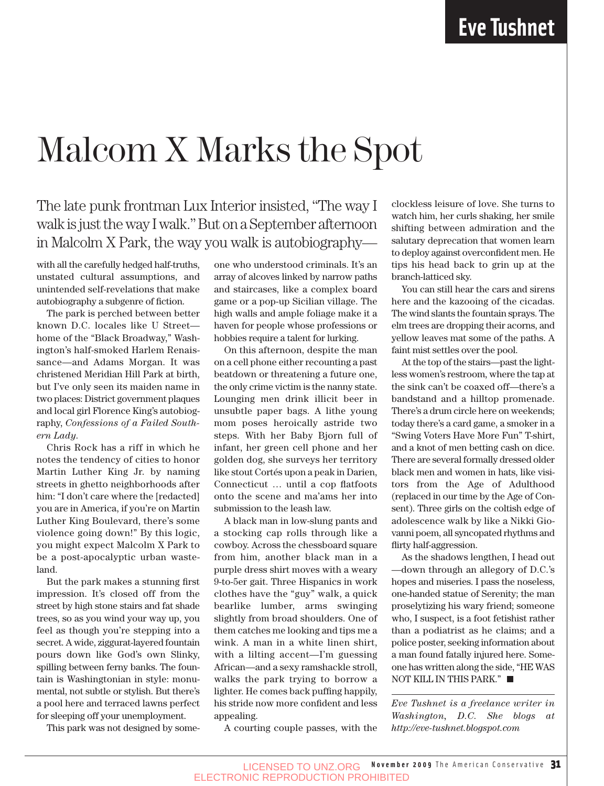## Malcom X Marks the Spot

The late punk frontman Lux Interior insisted, "The way I walk is just the way I walk." But on a September afternoon in Malcolm X Park, the way you walk is autobiography—

with all the carefully hedged half-truths, unstated cultural assumptions, and unintended self-revelations that make autobiography a subgenre of fiction.

The park is perched between better known D.C. locales like U Street home of the "Black Broadway," Washington's half-smoked Harlem Renaissance—and Adams Morgan. It was christened Meridian Hill Park at birth, but I've only seen its maiden name in two places: District government plaques and local girl Florence King's autobiography, *Confessions of a Failed Southern Lady*.

Chris Rock has a riff in which he notes the tendency of cities to honor Martin Luther King Jr. by naming streets in ghetto neighborhoods after him: "I don't care where the [redacted] you are in America, if you're on Martin Luther King Boulevard, there's some violence going down!" By this logic, you might expect Malcolm X Park to be a post-apocalyptic urban wasteland.

But the park makes a stunning first impression. It's closed off from the street by high stone stairs and fat shade trees, so as you wind your way up, you feel as though you're stepping into a secret. A wide, ziggurat-layered fountain pours down like God's own Slinky, spilling between ferny banks. The fountain is Washingtonian in style: monumental, not subtle or stylish. But there's a pool here and terraced lawns perfect for sleeping off your unemployment.

This park was not designed by some-

one who understood criminals. It's an array of alcoves linked by narrow paths and staircases, like a complex board game or a pop-up Sicilian village. The high walls and ample foliage make it a haven for people whose professions or hobbies require a talent for lurking.

On this afternoon, despite the man on a cell phone either recounting a past beatdown or threatening a future one, the only crime victim is the nanny state. Lounging men drink illicit beer in unsubtle paper bags. A lithe young mom poses heroically astride two steps. With her Baby Bjorn full of infant, her green cell phone and her golden dog, she surveys her territory like stout Cortés upon a peak in Darien, Connecticut … until a cop flatfoots onto the scene and ma'ams her into submission to the leash law.

A black man in low-slung pants and a stocking cap rolls through like a cowboy. Across the chessboard square from him, another black man in a purple dress shirt moves with a weary 9-to-5er gait. Three Hispanics in work clothes have the "guy" walk, a quick bearlike lumber, arms swinging slightly from broad shoulders. One of them catches me looking and tips me a wink. A man in a white linen shirt, with a lilting accent—I'm guessing African—and a sexy ramshackle stroll, walks the park trying to borrow a lighter. He comes back puffing happily, his stride now more confident and less appealing.

A courting couple passes, with the

clockless leisure of love. She turns to watch him, her curls shaking, her smile shifting between admiration and the salutary deprecation that women learn to deploy against overconfident men. He tips his head back to grin up at the branch-latticed sky.

You can still hear the cars and sirens here and the kazooing of the cicadas. The wind slants the fountain sprays. The elm trees are dropping their acorns, and yellow leaves mat some of the paths. A faint mist settles over the pool.

At the top of the stairs—past the lightless women's restroom, where the tap at the sink can't be coaxed off—there's a bandstand and a hilltop promenade. There's a drum circle here on weekends; today there's a card game, a smoker in a "Swing Voters Have More Fun" T-shirt, and a knot of men betting cash on dice. There are several formally dressed older black men and women in hats, like visitors from the Age of Adulthood (replaced in our time by the Age of Consent). Three girls on the coltish edge of adolescence walk by like a Nikki Giovanni poem, all syncopated rhythms and flirty half-aggression.

As the shadows lengthen, I head out —down through an allegory of D.C.'s hopes and miseries. I pass the noseless, one-handed statue of Serenity; the man proselytizing his wary friend; someone who, I suspect, is a foot fetishist rather than a podiatrist as he claims; and a police poster, seeking information about a man found fatally injured here. Someone has written along the side, "HE WAS NOT KILL IN THIS PARK."

*Eve Tushnet is a freelance writer in Washington, D.C. She blogs at http://eve-tushnet.blogspot.com*